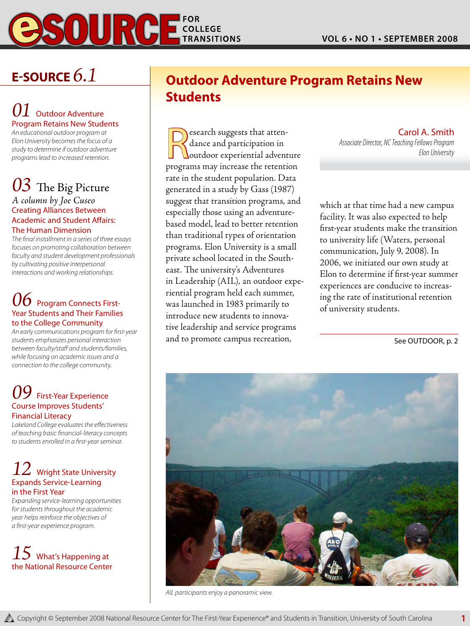

# **E-Source** *6.1*

# **L** Outdoor Adventure Program Retains New Students

*An educational outdoor program at Elon University becomes the focus of a study to determine if outdoor adventure programs lead to increased retention.*

# *03* The Big Picture

#### *A column by Joe Cuseo* Creating Alliances Between Academic and Student Affairs: The Human Dimension

*The final installment in a series of three essays focuses on promoting collaboration between faculty and student development professionals by cultivating positive interpersonal interactions and working relationships.*

# *06* Program Connects First-Year Students and Their Families to the College Community

*An early communications program for first-year students emphasizes personal interaction between faculty/staff and students/families, while focusing on academic issues and a connection to the college community.* 

# *09* First-Year Experience Course Improves Students' Financial Literacy

*Lakeland College evaluates the effectiveness of teaching basic financial-literacy concepts to students enrolled in a first-year seminar.*

# **Wright State University** Expands Service-Learning in the First Year

*Expanding service-learning opportunities for students throughout the academic year helps reinforce the objectives of a first-year experience program.* 

# *15* What's Happening at the National Resource Center

# **Outdoor Adventure Program Retains New Students**

Research suggests that atten-<br>dance and participation in<br>programs may increase the retention dance and participation in outdoor experiential adventure programs may increase the retention rate in the student population. Data generated in a study by Gass (1987) suggest that transition programs, and especially those using an adventurebased model, lead to better retention than traditional types of orientation programs. Elon University is a small private school located in the Southeast. The university's Adventures in Leadership (AIL), an outdoor experiential program held each summer, was launched in 1983 primarily to introduce new students to innovative leadership and service programs and to promote campus recreation,

Carol A. Smith *Associate Director, NC Teaching Fellows Program Elon University*

which at that time had a new campus facility. It was also expected to help first-year students make the transition to university life (Waters, personal communication, July 9, 2008). In 2006, we initiated our own study at Elon to determine if first-year summer experiences are conducive to increasing the rate of institutional retention of university students.

See OUTDOOR, p. 2



*AIL participants enjoy a panoramic view.*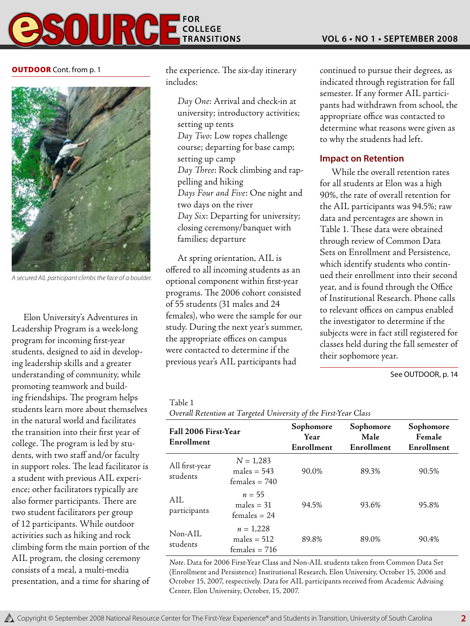

#### **OUTDOOR** Cont. from p. 1



*A secured AIL participant climbs the face of a boulder.* 

Elon University's Adventures in Leadership Program is a week-long program for incoming first-year students, designed to aid in developing leadership skills and a greater understanding of community, while promoting teamwork and building friendships. The program helps students learn more about themselves in the natural world and facilitates the transition into their first year of college. The program is led by students, with two staff and/or faculty in support roles. The lead facilitator is a student with previous AIL experience; other facilitators typically are also former participants. There are two student facilitators per group of 12 participants. While outdoor activities such as hiking and rock climbing form the main portion of the AIL program, the closing ceremony consists of a meal, a multi-media presentation, and a time for sharing of the experience. The six-day itinerary includes:

*Day One*: Arrival and check-in at university; introductory activities; setting up tents *Day Two*: Low ropes challenge course; departing for base camp; setting up camp *Day Three*: Rock climbing and rappelling and hiking *Days Four and Five*: One night and two days on the river *Day Six*: Departing for university; closing ceremony/banquet with families; departure

At spring orientation, AIL is offered to all incoming students as an optional component within first-year programs. The 2006 cohort consisted of 55 students (31 males and 24 females), who were the sample for our study. During the next year's summer, the appropriate offices on campus were contacted to determine if the previous year's AIL participants had

continued to pursue their degrees, as indicated through registration for fall semester. If any former AIL participants had withdrawn from school, the appropriate office was contacted to determine what reasons were given as to why the students had left.

# **Impact on Retention**

While the overall retention rates for all students at Elon was a high 90%, the rate of overall retention for the AIL participants was 94.5%; raw data and percentages are shown in Table 1. These data were obtained through review of Common Data Sets on Enrollment and Persistence, which identify students who continued their enrollment into their second year, and is found through the Office of Institutional Research. Phone calls to relevant offices on campus enabled the investigator to determine if the subjects were in fact still registered for classes held during the fall semester of their sophomore year.

See OUTDOOR, p. 14

# Table 1

*Overall Retention at Targeted University of the First-Year Class*

| Fall 2006 First-Year<br>Enrollment |                                                  | Sophomore<br>Year<br>Enrollment | Sophomore<br>Male<br>Enrollment | Sophomore<br>Female<br>Enrollment |
|------------------------------------|--------------------------------------------------|---------------------------------|---------------------------------|-----------------------------------|
| All first-year<br>students         | $N = 1,283$<br>males $= 543$<br>$f$ emales = 740 | 90.0%                           | 89.3%                           | 90.5%                             |
| ATL<br>participants                | $n = 55$<br>males $=$ 31<br>$f$ emales = 24      | 94.5%                           | 93.6%                           | 95.8%                             |
| Non-AIL<br>students                | $n = 1,228$<br>males $= 512$<br>$f$ emales = 716 | 89.8%                           | 89.0%                           | 90.4%                             |

*Note*. Data for 2006 First-Year Class and Non-AIL students taken from Common Data Set (Enrollment and Persistence) Institutional Research, Elon University, October 15, 2006 and October 15, 2007, respectively. Data for AIL participants received from Academic Advising Center, Elon University, October, 15, 2007.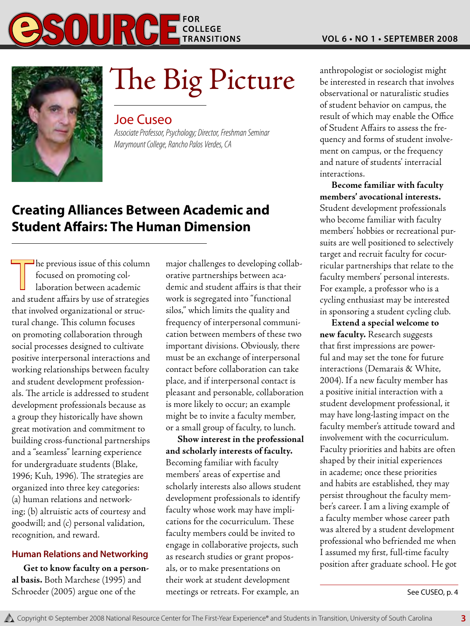



# $\sum$ he  $\sum$ ig Picture anthropologist or sociologist might

# Joe Cuseo

*Associate Professor, Psychology; Director, Freshman Seminar Marymount College, Rancho Palos Verdes, CA*

# **Creating Alliances Between Academic and Student Affairs: The Human Dimension**

 $\mathsf{\mathsf{I}}$  he previous issue of this column focused on promoting collaboration between academic and student affairs by use of strategies that involved organizational or structural change. This column focuses on promoting collaboration through social processes designed to cultivate positive interpersonal interactions and working relationships between faculty and student development professionals. The article is addressed to student development professionals because as a group they historically have shown great motivation and commitment to building cross-functional partnerships and a "seamless" learning experience for undergraduate students (Blake, 1996; Kuh, 1996). The strategies are organized into three key categories: (a) human relations and networking; (b) altruistic acts of courtesy and goodwill; and (c) personal validation, recognition, and reward.

# **Human Relations and Networking**

**Get to know faculty on a personal basis.** Both Marchese (1995) and Schroeder (2005) argue one of the

major challenges to developing collaborative partnerships between academic and student affairs is that their work is segregated into "functional silos," which limits the quality and frequency of interpersonal communication between members of these two important divisions. Obviously, there must be an exchange of interpersonal contact before collaboration can take place, and if interpersonal contact is pleasant and personable, collaboration is more likely to occur; an example might be to invite a faculty member, or a small group of faculty, to lunch.

**Show interest in the professional and scholarly interests of faculty.** Becoming familiar with faculty members' areas of expertise and scholarly interests also allows student development professionals to identify faculty whose work may have implications for the cocurriculum. These faculty members could be invited to engage in collaborative projects, such as research studies or grant proposals, or to make presentations on their work at student development meetings or retreats. For example, an

be interested in research that involves observational or naturalistic studies of student behavior on campus, the result of which may enable the Office of Student Affairs to assess the frequency and forms of student involvement on campus, or the frequency and nature of students' interracial interactions.

**Become familiar with faculty members' avocational interests.** Student development professionals who become familiar with faculty members' hobbies or recreational pursuits are well positioned to selectively target and recruit faculty for cocurricular partnerships that relate to the faculty members' personal interests. For example, a professor who is a cycling enthusiast may be interested in sponsoring a student cycling club.

**Extend a special welcome to new faculty.** Research suggests that first impressions are powerful and may set the tone for future interactions (Demarais & White, 2004). If a new faculty member has a positive initial interaction with a student development professional, it may have long-lasting impact on the faculty member's attitude toward and involvement with the cocurriculum. Faculty priorities and habits are often shaped by their initial experiences in academe; once these priorities and habits are established, they may persist throughout the faculty member's career. I am a living example of a faculty member whose career path was altered by a student development professional who befriended me when I assumed my first, full-time faculty position after graduate school. He got

See CUSEO, p. 4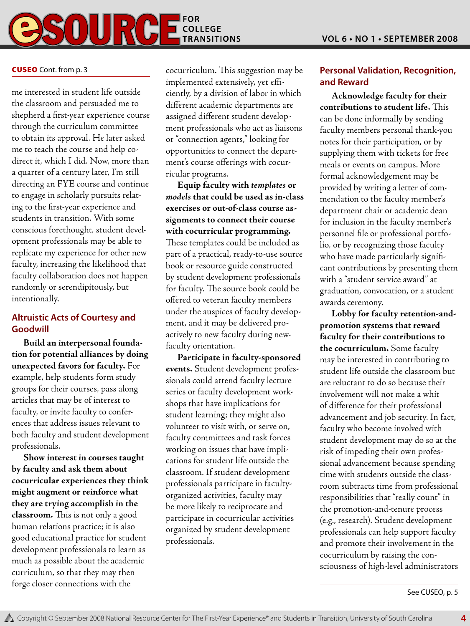![](_page_3_Picture_1.jpeg)

#### **CUSEO** Cont. from p. 3

me interested in student life outside the classroom and persuaded me to shepherd a first-year experience course through the curriculum committee to obtain its approval. He later asked me to teach the course and help codirect it, which I did. Now, more than a quarter of a century later, I'm still directing an FYE course and continue to engage in scholarly pursuits relating to the first-year experience and students in transition. With some conscious forethought, student development professionals may be able to replicate my experience for other new faculty, increasing the likelihood that faculty collaboration does not happen randomly or serendipitously, but intentionally.

# **Altruistic Acts of Courtesy and Goodwill**

**Build an interpersonal foundation for potential alliances by doing unexpected favors for faculty.** For example, help students form study groups for their courses, pass along articles that may be of interest to faculty, or invite faculty to conferences that address issues relevant to both faculty and student development professionals.

**Show interest in courses taught by faculty and ask them about cocurricular experiences they think might augment or reinforce what they are trying accomplish in the classroom.** This is not only a good human relations practice; it is also good educational practice for student development professionals to learn as much as possible about the academic curriculum, so that they may then forge closer connections with the

cocurriculum. This suggestion may be implemented extensively, yet efficiently, by a division of labor in which different academic departments are assigned different student development professionals who act as liaisons or "connection agents," looking for opportunities to connect the department's course offerings with cocurricular programs.

**Equip faculty with** *templates* **or**  *models* **that could be used as in-class exercises or out-of-class course assignments to connect their course with cocurricular programming.** These templates could be included as part of a practical, ready-to-use source book or resource guide constructed by student development professionals for faculty. The source book could be offered to veteran faculty members under the auspices of faculty development, and it may be delivered proactively to new faculty during newfaculty orientation.

**Participate in faculty-sponsored events.** Student development professionals could attend faculty lecture series or faculty development workshops that have implications for student learning; they might also volunteer to visit with, or serve on, faculty committees and task forces working on issues that have implications for student life outside the classroom. If student development professionals participate in facultyorganized activities, faculty may be more likely to reciprocate and participate in cocurricular activities organized by student development professionals.

# **Personal Validation, Recognition, and Reward**

**Acknowledge faculty for their contributions to student life.** This can be done informally by sending faculty members personal thank-you notes for their participation, or by supplying them with tickets for free meals or events on campus. More formal acknowledgement may be provided by writing a letter of commendation to the faculty member's department chair or academic dean for inclusion in the faculty member's personnel file or professional portfolio, or by recognizing those faculty who have made particularly significant contributions by presenting them with a "student service award" at graduation, convocation, or a student awards ceremony.

**Lobby for faculty retention-andpromotion systems that reward faculty for their contributions to the cocurriculum.** Some faculty may be interested in contributing to student life outside the classroom but are reluctant to do so because their involvement will not make a whit of difference for their professional advancement and job security. In fact, faculty who become involved with student development may do so at the risk of impeding their own professional advancement because spending time with students outside the classroom subtracts time from professional responsibilities that "really count" in the promotion-and-tenure process (e.g., research). Student development professionals can help support faculty and promote their involvement in the cocurriculum by raising the consciousness of high-level administrators

See CUSEO, p. 5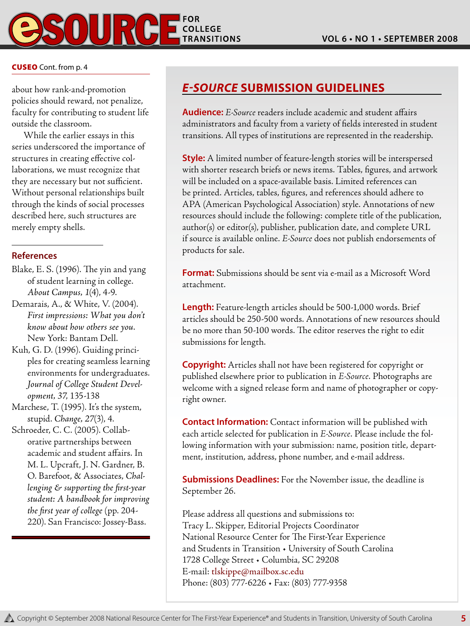![](_page_4_Picture_1.jpeg)

#### Cuseo Cont. from p. 4

about how rank-and-promotion policies should reward, not penalize, faculty for contributing to student life outside the classroom.

While the earlier essays in this series underscored the importance of structures in creating effective collaborations, we must recognize that they are necessary but not sufficient. Without personal relationships built through the kinds of social processes described here, such structures are merely empty shells.

# **References**

- Blake, E. S. (1996). The yin and yang of student learning in college. *About Campus, 1*(4), 4-9.
- Demarais, A., & White, V. (2004). *First impressions: What you don't know about how others see you*. New York: Bantam Dell.
- Kuh, G. D. (1996). Guiding principles for creating seamless learning environments for undergraduates. *Journal of College Student Development, 37*, 135-138
- Marchese, T. (1995). It's the system, stupid. *Change, 27*(3), 4.
- Schroeder, C. C. (2005). Collaborative partnerships between academic and student affairs. In M. L. Upcraft, J. N. Gardner, B. O. Barefoot, & Associates, *Challenging & supporting the first-year student: A handbook for improving the first year of college* (pp. 204- 220). San Francisco: Jossey-Bass.

# *E-Source* **Submission Guidelines**

**Audience:** *E-Source* readers include academic and student affairs administrators and faculty from a variety of fields interested in student transitions. All types of institutions are represented in the readership.

**Style:** A limited number of feature-length stories will be interspersed with shorter research briefs or news items. Tables, figures, and artwork will be included on a space-available basis. Limited references can be printed. Articles, tables, figures, and references should adhere to APA (American Psychological Association) style. Annotations of new resources should include the following: complete title of the publication, author(s) or editor(s), publisher, publication date, and complete URL if source is available online. *E-Source* does not publish endorsements of products for sale.

**Format:** Submissions should be sent via e-mail as a Microsoft Word attachment.

**Length:** Feature-length articles should be 500-1,000 words. Brief articles should be 250-500 words. Annotations of new resources should be no more than 50-100 words. The editor reserves the right to edit submissions for length.

**Copyright:** Articles shall not have been registered for copyright or published elsewhere prior to publication in *E-Source*. Photographs are welcome with a signed release form and name of photographer or copyright owner.

**Contact Information:** Contact information will be published with each article selected for publication in *E-Source*. Please include the following information with your submission: name, position title, department, institution, address, phone number, and e-mail address.

**Submissions Deadlines:** For the November issue, the deadline is September 26.

Please address all questions and submissions to: Tracy L. Skipper, Editorial Projects Coordinator National Resource Center for The First-Year Experience and Students in Transition • University of South Carolina 1728 College Street • Columbia, SC 29208 E-mail: tlskippe@mailbox.sc.edu Phone: (803) 777-6226 • Fax: (803) 777-9358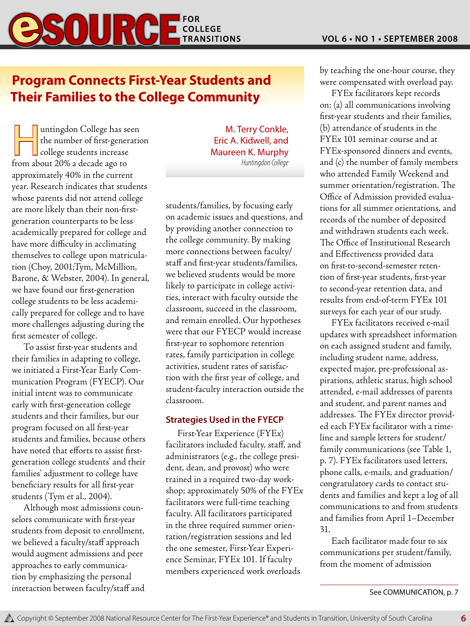# **Program Connects First-Year Students and Their Families to the College Community**

untingdon College has seen<br>
the number of first-generation<br>
college students increase the number of first-generation from about 20% a decade ago to approximately 40% in the current year. Research indicates that students whose parents did not attend college are more likely than their non-firstgeneration counterparts to be less academically prepared for college and have more difficulty in acclimating themselves to college upon matriculation (Choy, 2001;Tym, McMillion, Barone, & Webster, 2004). In general, we have found our first-generation college students to be less academically prepared for college and to have more challenges adjusting during the first semester of college.

To assist first-year students and their families in adapting to college, we initiated a First-Year Early Communication Program (FYECP). Our initial intent was to communicate early with first-generation college students and their families, but our program focused on all first-year students and families, because others have noted that efforts to assist firstgeneration college students' and their families' adjustment to college have beneficiary results for all first-year students (Tym et al., 2004).

Although most admissions counselors communicate with first-year students from deposit to enrollment, we believed a faculty/staff approach would augment admissions and peer approaches to early communication by emphasizing the personal interaction between faculty/staff and

M. Terry Conkle, Eric A. Kidwell, and Maureen K. Murphy *Huntingdon College*

students/families, by focusing early on academic issues and questions, and by providing another connection to the college community. By making more connections between faculty/ staff and first-year students/families, we believed students would be more likely to participate in college activities, interact with faculty outside the classroom, succeed in the classroom, and remain enrolled. Our hypotheses were that our FYECP would increase first-year to sophomore retention rates, family participation in college activities, student rates of satisfaction with the first year of college, and student-faculty interaction outside the classroom.

# **Strategies Used in the FYECP**

First-Year Experience (FYEx) facilitators included faculty, staff, and administrators (e.g., the college president, dean, and provost) who were trained in a required two-day workshop; approximately 50% of the FYEx facilitators were full-time teaching faculty. All facilitators participated in the three required summer orientation/registration sessions and led the one semester, First-Year Experience Seminar, FYEx 101. If faculty members experienced work overloads

by teaching the one-hour course, they were compensated with overload pay.

FYEx facilitators kept records on: (a) all communications involving first-year students and their families, (b) attendance of students in the FYEx 101 seminar course and at FYEx-sponsored dinners and events, and (c) the number of family members who attended Family Weekend and summer orientation/registration. The Office of Admission provided evaluations for all summer orientations, and records of the number of deposited and withdrawn students each week. The Office of Institutional Research and Effectiveness provided data on first-to-second-semester retention of first-year students, first-year to second-year retention data, and results from end-of-term FYEx 101 surveys for each year of our study.

FYEx facilitators received e-mail updates with spreadsheet information on each assigned student and family, including student name, address, expected major, pre-professional aspirations, athletic status, high school attended, e-mail addresses of parents and student, and parent names and addresses. The FYEx director provided each FYEx facilitator with a timeline and sample letters for student/ family communications (see Table 1, p. 7). FYEx facilitators used letters, phone calls, e-mails, and graduation/ congratulatory cards to contact students and families and kept a log of all communications to and from students and families from April 1–December 31.

Each facilitator made four to six communications per student/family, from the moment of admission

See Communication, p. 7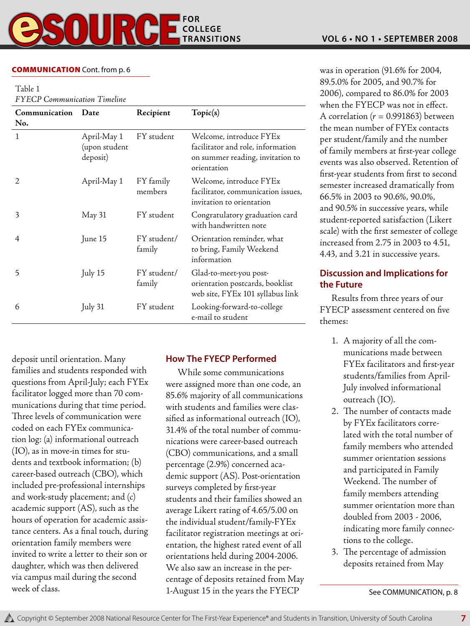# **COMMUNICATION** Cont. from p. 6

Table 1

*FYECP Communication Timeline*

| Communication<br>No.        | Date                                     | Recipient             | Topic(s)                                                                                                        |
|-----------------------------|------------------------------------------|-----------------------|-----------------------------------------------------------------------------------------------------------------|
| 1                           | April-May 1<br>(upon student<br>deposit) | FY student            | Welcome, introduce FYEx<br>facilitator and role, information<br>on summer reading, invitation to<br>orientation |
| $\mathcal{D}_{\mathcal{L}}$ | April-May 1                              | FY family<br>members  | Welcome, introduce FYEx<br>facilitator, communication issues,<br>invitation to orientation                      |
| 3                           | May 31                                   | FY student            | Congratulatory graduation card<br>with handwritten note                                                         |
| 4                           | June 15                                  | FY student/<br>family | Orientation reminder, what<br>to bring, Family Weekend<br>information                                           |
| 5                           | July 15                                  | FY student/<br>family | Glad-to-meet-you post-<br>orientation postcards, booklist<br>web site, FYEx 101 syllabus link                   |
| 6                           | July 31                                  | FY student            | Looking-forward-to-college<br>e-mail to student                                                                 |

deposit until orientation. Many families and students responded with questions from April-July; each FYEx facilitator logged more than 70 communications during that time period. Three levels of communication were coded on each FYEx communication log: (a) informational outreach (IO), as in move-in times for students and textbook information; (b) career-based outreach (CBO), which included pre-professional internships and work-study placement; and (c) academic support (AS), such as the hours of operation for academic assistance centers. As a final touch, during orientation family members were invited to write a letter to their son or daughter, which was then delivered via campus mail during the second week of class.

# **How The FYECP Performed**

While some communications were assigned more than one code, an 85.6% majority of all communications with students and families were classified as informational outreach (IO), 31.4% of the total number of communications were career-based outreach (CBO) communications, and a small percentage (2.9%) concerned academic support (AS). Post-orientation surveys completed by first-year students and their families showed an average Likert rating of 4.65/5.00 on the individual student/family-FYEx facilitator registration meetings at orientation, the highest rated event of all orientations held during 2004-2006. We also saw an increase in the percentage of deposits retained from May 1-August 15 in the years the FYECP

was in operation (91.6% for 2004, 89.5.0% for 2005, and 90.7% for 2006), compared to 86.0% for 2003 when the FYECP was not in effect. A correlation  $(r = 0.991863)$  between the mean number of FYEx contacts per student/family and the number of family members at first-year college events was also observed. Retention of first-year students from first to second semester increased dramatically from 66.5% in 2003 to 90.6%, 90.0%, and 90.5% in successive years, while student-reported satisfaction (Likert scale) with the first semester of college increased from 2.75 in 2003 to 4.51, 4.43, and 3.21 in successive years.

# **Discussion and Implications for the Future**

Results from three years of our FYECP assessment centered on five themes:

- 1. A majority of all the communications made between FYEx facilitators and first-year students/families from April-July involved informational outreach (IO).
- 2. The number of contacts made by FYEx facilitators correlated with the total number of family members who attended summer orientation sessions and participated in Family Weekend. The number of family members attending summer orientation more than doubled from 2003 - 2006, indicating more family connections to the college.
- 3. The percentage of admission deposits retained from May

See Communication, p. 8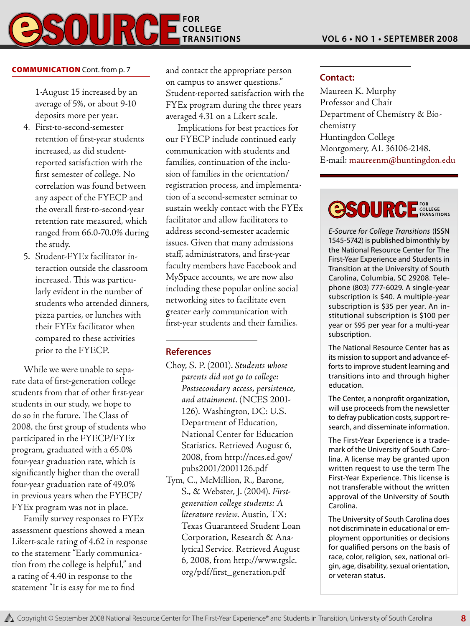### **FOR**  $\begin{array}{c} \textbf{0} \textbf{1} \textbf{I} \end{array}$ COLLEGE **TRANSITIONS**

# **COMMUNICATION** Cont. from p. 7

1-August 15 increased by an average of 5%, or about 9-10 deposits more per year.

- 4. First-to-second-semester retention of first-year students increased, as did studentreported satisfaction with the first semester of college. No correlation was found between any aspect of the FYECP and the overall first-to-second-year retention rate measured, which ranged from 66.0-70.0% during the study.
- 5. Student-FYEx facilitator interaction outside the classroom increased. This was particularly evident in the number of students who attended dinners, pizza parties, or lunches with their FYEx facilitator when compared to these activities prior to the FYECP.

While we were unable to separate data of first-generation college students from that of other first-year students in our study, we hope to do so in the future. The Class of 2008, the first group of students who participated in the FYECP/FYEx program, graduated with a 65.0% four-year graduation rate, which is significantly higher than the overall four-year graduation rate of 49.0% in previous years when the FYECP/ FYEx program was not in place.

Family survey responses to FYEx assessment questions showed a mean Likert-scale rating of 4.62 in response to the statement "Early communication from the college is helpful," and a rating of 4.40 in response to the statement "It is easy for me to find

and contact the appropriate person on campus to answer questions." Student-reported satisfaction with the FYEx program during the three years averaged 4.31 on a Likert scale.

Implications for best practices for our FYECP include continued early communication with students and families, continuation of the inclusion of families in the orientation/ registration process, and implementation of a second-semester seminar to sustain weekly contact with the FYEx facilitator and allow facilitators to address second-semester academic issues. Given that many admissions staff, administrators, and first-year faculty members have Facebook and MySpace accounts, we are now also including these popular online social networking sites to facilitate even greater early communication with first-year students and their families.

# **References**

- Choy, S. P. (2001). *Students whose parents did not go to college: Postsecondary access, persistence, and attainment*. (NCES 2001- 126). Washington, DC: U.S. Department of Education, National Center for Education Statistics. Retrieved August 6, 2008, from http://nces.ed.gov/ pubs2001/2001126.pdf
- Tym, C., McMillion, R., Barone, S., & Webster, J. (2004). *Firstgeneration college students: A literature review*. Austin, TX: Texas Guaranteed Student Loan Corporation, Research & Analytical Service. Retrieved August 6, 2008, from http://www.tgslc. org/pdf/first\_generation.pdf

# **Contact:**

Maureen K. Murphy Professor and Chair Department of Chemistry & Biochemistry Huntingdon College Montgomery, AL 36106-2148. E-mail: maureenm@huntingdon.edu

# **@SOURC** FOR<br>COLLEGE<br>TRANSITIONS

*E-Source for College Transitions* (ISSN 1545-5742) is published bimonthly by the National Resource Center for The First-Year Experience and Students in Transition at the University of South Carolina, Columbia, SC 29208. Telephone (803) 777-6029. A single-year subscription is \$40. A multiple-year subscription is \$35 per year. An institutional subscription is \$100 per year or \$95 per year for a multi-year subscription.

The National Resource Center has as its mission to support and advance efforts to improve student learning and transitions into and through higher education.

The Center, a nonprofit organization, will use proceeds from the newsletter to defray publication costs, support research, and disseminate information.

The First-Year Experience is a trademark of the University of South Carolina. A license may be granted upon written request to use the term The First-Year Experience. This license is not transferable without the written approval of the University of South Carolina.

The University of South Carolina does not discriminate in educational or employment opportunities or decisions for qualified persons on the basis of race, color, religion, sex, national origin, age, disability, sexual orientation, or veteran status.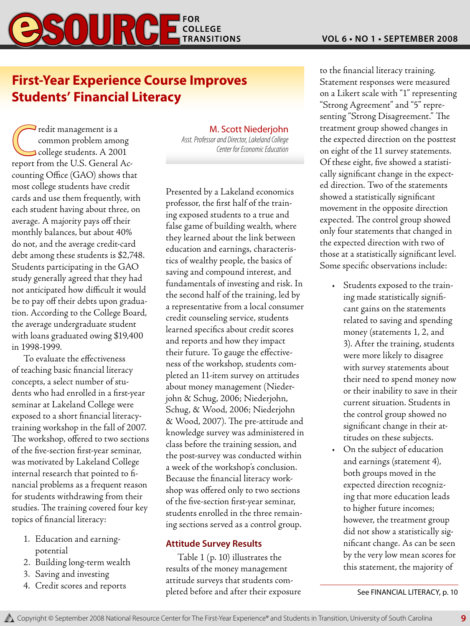![](_page_8_Picture_1.jpeg)

# **First-Year Experience Course Improves Students' Financial Literacy**

The redit management is a<br>
common problem among<br>
college students. A 2001 common problem among report from the U.S. General Accounting Office (GAO) shows that most college students have credit cards and use them frequently, with each student having about three, on average. A majority pays off their monthly balances, but about 40% do not, and the average credit-card debt among these students is \$2,748. Students participating in the GAO study generally agreed that they had not anticipated how difficult it would be to pay off their debts upon graduation. According to the College Board, the average undergraduate student with loans graduated owing \$19,400 in 1998-1999.

To evaluate the effectiveness of teaching basic financial literacy concepts, a select number of students who had enrolled in a first-year seminar at Lakeland College were exposed to a short financial literacytraining workshop in the fall of 2007. The workshop, offered to two sections of the five-section first-year seminar, was motivated by Lakeland College internal research that pointed to financial problems as a frequent reason for students withdrawing from their studies. The training covered four key topics of financial literacy:

- 1. Education and earningpotential
- 2. Building long-term wealth
- 3. Saving and investing
- 4. Credit scores and reports

M. Scott Niederjohn

*Asst. Professor and Director, Lakeland College Center for Economic Education*

Presented by a Lakeland economics professor, the first half of the training exposed students to a true and false game of building wealth, where they learned about the link between education and earnings, characteristics of wealthy people, the basics of saving and compound interest, and fundamentals of investing and risk. In the second half of the training, led by a representative from a local consumer credit counseling service, students learned specifics about credit scores and reports and how they impact their future. To gauge the effectiveness of the workshop, students completed an 11-item survey on attitudes about money management (Niederjohn & Schug, 2006; Niederjohn, Schug, & Wood, 2006; Niederjohn & Wood, 2007). The pre-attitude and knowledge survey was administered in class before the training session, and the post-survey was conducted within a week of the workshop's conclusion. Because the financial literacy workshop was offered only to two sections of the five-section first-year seminar, students enrolled in the three remaining sections served as a control group.

# **Attitude Survey Results**

Table 1 (p. 10) illustrates the results of the money management attitude surveys that students completed before and after their exposure to the financial literacy training. Statement responses were measured on a Likert scale with "1" representing "Strong Agreement" and "5" representing "Strong Disagreement." The treatment group showed changes in the expected direction on the posttest on eight of the 11 survey statements. Of these eight, five showed a statistically significant change in the expected direction. Two of the statements showed a statistically significant movement in the opposite direction expected. The control group showed only four statements that changed in the expected direction with two of those at a statistically significant level. Some specific observations include:

- Students exposed to the training made statistically significant gains on the statements related to saving and spending money (statements 1, 2, and 3). After the training, students were more likely to disagree with survey statements about their need to spend money now or their inability to save in their current situation. Students in the control group showed no significant change in their attitudes on these subjects.
- On the subject of education and earnings (statement 4), both groups moved in the expected direction recognizing that more education leads to higher future incomes; however, the treatment group did not show a statistically significant change. As can be seen by the very low mean scores for this statement, the majority of

See FINANCIAL LITERACY, p. 10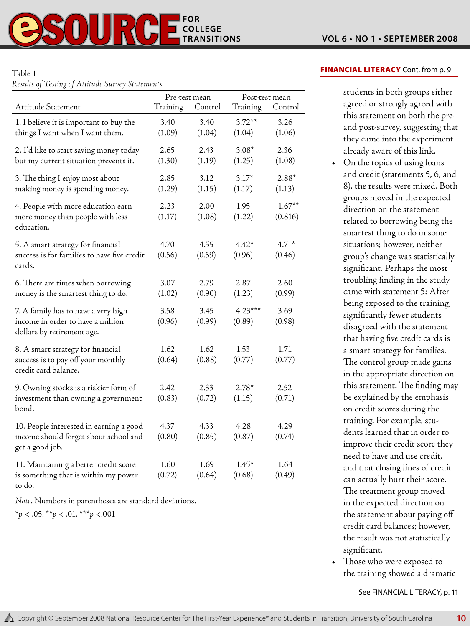### Table 1

*Results of Testing of Attitude Survey Statements*

|                                                                                                        | Pre-test mean  |                | Post-test mean      |                     |
|--------------------------------------------------------------------------------------------------------|----------------|----------------|---------------------|---------------------|
| Attitude Statement                                                                                     | Training       | Control        | Training            | Control             |
| 1. I believe it is important to buy the<br>things I want when I want them.                             | 3.40<br>(1.09) | 3.40<br>(1.04) | $3.72**$<br>(1.04)  | 3.26<br>(1.06)      |
| 2. I'd like to start saving money today<br>but my current situation prevents it.                       | 2.65<br>(1.30) | 2.43<br>(1.19) | $3.08*$<br>(1.25)   | 2.36<br>(1.08)      |
| 3. The thing I enjoy most about<br>making money is spending money.                                     | 2.85<br>(1.29) | 3.12<br>(1.15) | $3.17*$<br>(1.17)   | $2.88*$<br>(1.13)   |
| 4. People with more education earn<br>more money than people with less<br>education.                   | 2.23<br>(1.17) | 2.00<br>(1.08) | 1.95<br>(1.22)      | $1.67**$<br>(0.816) |
| 5. A smart strategy for financial<br>success is for families to have five credit<br>cards.             | 4.70<br>(0.56) | 4.55<br>(0.59) | $4.42*$<br>(0.96)   | $4.71*$<br>(0.46)   |
| 6. There are times when borrowing<br>money is the smartest thing to do.                                | 3.07<br>(1.02) | 2.79<br>(0.90) | 2.87<br>(1.23)      | 2.60<br>(0.99)      |
| 7. A family has to have a very high<br>income in order to have a million<br>dollars by retirement age. | 3.58<br>(0.96) | 3.45<br>(0.99) | $4.23***$<br>(0.89) | 3.69<br>(0.98)      |
| 8. A smart strategy for financial<br>success is to pay off your monthly<br>credit card balance.        | 1.62<br>(0.64) | 1.62<br>(0.88) | 1.53<br>(0.77)      | 1.71<br>(0.77)      |
| 9. Owning stocks is a riskier form of<br>investment than owning a government<br>bond.                  | 2.42<br>(0.83) | 2.33<br>(0.72) | $2.78*$<br>(1.15)   | 2.52<br>(0.71)      |
| 10. People interested in earning a good<br>income should forget about school and<br>get a good job.    | 4.37<br>(0.80) | 4.33<br>(0.85) | 4.28<br>(0.87)      | 4.29<br>(0.74)      |
| 11. Maintaining a better credit score<br>is something that is within my power<br>to do.                | 1.60<br>(0.72) | 1.69<br>(0.64) | $1.45*$<br>(0.68)   | 1.64<br>(0.49)      |

*Note*. Numbers in parentheses are standard deviations.

\**p* < .05. \*\**p* < .01. \*\*\**p* <.001

# FINANCIAL LITERACY Cont. from p. 9

students in both groups either agreed or strongly agreed with this statement on both the preand post-survey, suggesting that they came into the experiment already aware of this link.

- On the topics of using loans and credit (statements 5, 6, and 8), the results were mixed. Both groups moved in the expected direction on the statement related to borrowing being the smartest thing to do in some situations; however, neither group's change was statistically significant. Perhaps the most troubling finding in the study came with statement 5: After being exposed to the training, significantly fewer students disagreed with the statement that having five credit cards is a smart strategy for families. The control group made gains in the appropriate direction on this statement. The finding may be explained by the emphasis on credit scores during the training. For example, students learned that in order to improve their credit score they need to have and use credit, and that closing lines of credit can actually hurt their score. The treatment group moved in the expected direction on the statement about paying off credit card balances; however, the result was not statistically significant.
- Those who were exposed to the training showed a dramatic

See FINANCIAL LITERACY, p. 11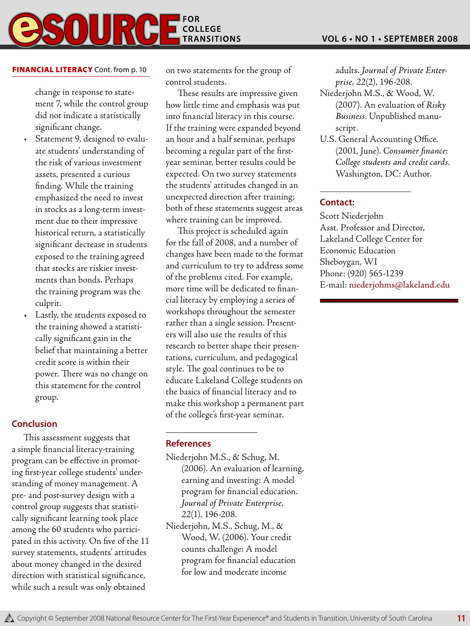# **FOR COLLEGE TRANSITIONS**

## **FINANCIAL LITERACY** Cont. from p. 10

change in response to statement 7, while the control group did not indicate a statistically significant change.

- Statement 9, designed to evaluate students' understanding of the risk of various investment assets, presented a curious finding. While the training emphasized the need to invest in stocks as a long-term investment due to their impressive historical return, a statistically significant decrease in students exposed to the training agreed that stocks are riskier investments than bonds. Perhaps the training program was the culprit.
- Lastly, the students exposed to the training showed a statistically significant gain in the belief that maintaining a better credit score is within their power. There was no change on this statement for the control group.

# **Conclusion**

This assessment suggests that a simple financial literacy-training program can be effective in promoting first-year college students' understanding of money management. A pre- and post-survey design with a control group suggests that statistically significant learning took place among the 60 students who participated in this activity. On five of the 11 survey statements, students' attitudes about money changed in the desired direction with statistical significance, while such a result was only obtained

on two statements for the group of control students.

These results are impressive given how little time and emphasis was put into financial literacy in this course. If the training were expanded beyond an hour and a half seminar, perhaps becoming a regular part of the firstyear seminar, better results could be expected. On two survey statements the students' attitudes changed in an unexpected direction after training; both of these statements suggest areas where training can be improved.

This project is scheduled again for the fall of 2008, and a number of changes have been made to the format and curriculum to try to address some of the problems cited. For example, more time will be dedicated to financial literacy by employing a series of workshops throughout the semester rather than a single session. Presenters will also use the results of this research to better shape their presentations, curriculum, and pedagogical style. The goal continues to be to educate Lakeland College students on the basics of financial literacy and to make this workshop a permanent part of the college's first-year seminar.

# **References**

- Niederjohn M.S., & Schug, M. (2006). An evaluation of learning, earning and investing: A model program for financial education. *Journal of Private Enterprise, 22*(1), 196-208.
- Niederjohn, M.S., Schug, M., & Wood, W. (2006). Your credit counts challenge: A model program for financial education for low and moderate income

adults. *Journal of Private Enterprise, 22*(2), 196-208.

- Niederjohn M.S., & Wood, W. (2007). An evaluation of *Risky Business*. Unpublished manuscript.
- U.S. General Accounting Office. (2001, June). *Consumer finance: College students and credit cards*. Washington, DC: Author.

# **Contact:**

Scott Niederjohn Asst. Professor and Director, Lakeland College Center for Economic Education Sheboygan, WI Phone: (920) 565-1239 E-mail: niederjohms@lakeland.edu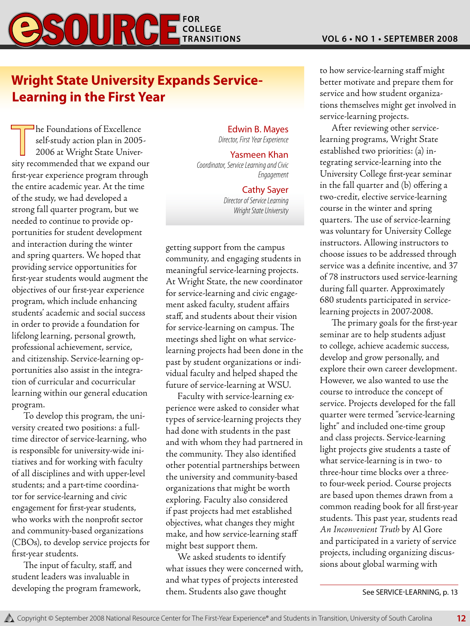![](_page_11_Picture_1.jpeg)

# **Wright State University Expands Service-Learning in the First Year**

The Foundations of Excellence<br>self-study action plan in 2005<br>2006 at Wright State Univerself-study action plan in 2005- 2006 at Wright State University recommended that we expand our first-year experience program through the entire academic year. At the time of the study, we had developed a strong fall quarter program, but we needed to continue to provide opportunities for student development and interaction during the winter and spring quarters. We hoped that providing service opportunities for first-year students would augment the objectives of our first-year experience program, which include enhancing students' academic and social success in order to provide a foundation for lifelong learning, personal growth, professional achievement, service, and citizenship. Service-learning opportunities also assist in the integration of curricular and cocurricular learning within our general education program.

To develop this program, the university created two positions: a fulltime director of service-learning, who is responsible for university-wide initiatives and for working with faculty of all disciplines and with upper-level students; and a part-time coordinator for service-learning and civic engagement for first-year students, who works with the nonprofit sector and community-based organizations (CBOs), to develop service projects for first-year students.

The input of faculty, staff, and student leaders was invaluable in developing the program framework,

### Edwin B. Mayes *Director, First Year Experience*

## Yasmeen Khan

*Coordinator, Service Learning and Civic Engagement*

### Cathy Sayer

*Director of Service Learning Wright State University*

getting support from the campus community, and engaging students in meaningful service-learning projects. At Wright State, the new coordinator for service-learning and civic engagement asked faculty, student affairs staff, and students about their vision for service-learning on campus. The meetings shed light on what servicelearning projects had been done in the past by student organizations or individual faculty and helped shaped the future of service-learning at WSU.

Faculty with service-learning experience were asked to consider what types of service-learning projects they had done with students in the past and with whom they had partnered in the community. They also identified other potential partnerships between the university and community-based organizations that might be worth exploring. Faculty also considered if past projects had met established objectives, what changes they might make, and how service-learning staff might best support them.

We asked students to identify what issues they were concerned with, and what types of projects interested them. Students also gave thought

to how service-learning staff might better motivate and prepare them for service and how student organizations themselves might get involved in service-learning projects.

After reviewing other servicelearning programs, Wright State established two priorities: (a) integrating service-learning into the University College first-year seminar in the fall quarter and (b) offering a two-credit, elective service-learning course in the winter and spring quarters. The use of service-learning was voluntary for University College instructors. Allowing instructors to choose issues to be addressed through service was a definite incentive, and 37 of 78 instructors used service-learning during fall quarter. Approximately 680 students participated in servicelearning projects in 2007-2008.

The primary goals for the first-year seminar are to help students adjust to college, achieve academic success, develop and grow personally, and explore their own career development. However, we also wanted to use the course to introduce the concept of service. Projects developed for the fall quarter were termed "service-learning light" and included one-time group and class projects. Service-learning light projects give students a taste of what service-learning is in two- to three-hour time blocks over a threeto four-week period. Course projects are based upon themes drawn from a common reading book for all first-year students. This past year, students read *An Inconvenient Truth* by Al Gore and participated in a variety of service projects, including organizing discussions about global warming with

See Service-Learning, p. 13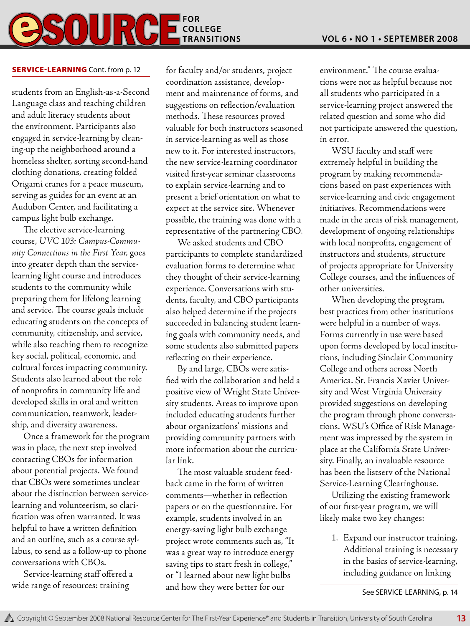# **BSOURGE FOR EXPLORE TRANSITIONS**

# **SERVICE-LEARNING** Cont. from p. 12

students from an English-as-a-Second Language class and teaching children and adult literacy students about the environment. Participants also engaged in service-learning by cleaning-up the neighborhood around a homeless shelter, sorting second-hand clothing donations, creating folded Origami cranes for a peace museum, serving as guides for an event at an Audubon Center, and facilitating a campus light bulb exchange.

The elective service-learning course, *UVC 103: Campus-Community Connections in the First Year*, goes into greater depth than the servicelearning light course and introduces students to the community while preparing them for lifelong learning and service. The course goals include educating students on the concepts of community, citizenship, and service, while also teaching them to recognize key social, political, economic, and cultural forces impacting community. Students also learned about the role of nonprofits in community life and developed skills in oral and written communication, teamwork, leadership, and diversity awareness.

Once a framework for the program was in place, the next step involved contacting CBOs for information about potential projects. We found that CBOs were sometimes unclear about the distinction between servicelearning and volunteerism, so clarification was often warranted. It was helpful to have a written definition and an outline, such as a course syllabus, to send as a follow-up to phone conversations with CBOs.

Service-learning staff offered a wide range of resources: training

for faculty and/or students, project coordination assistance, development and maintenance of forms, and suggestions on reflection/evaluation methods. These resources proved valuable for both instructors seasoned in service-learning as well as those new to it. For interested instructors, the new service-learning coordinator visited first-year seminar classrooms to explain service-learning and to present a brief orientation on what to expect at the service site. Whenever possible, the training was done with a representative of the partnering CBO.

We asked students and CBO participants to complete standardized evaluation forms to determine what they thought of their service-learning experience. Conversations with students, faculty, and CBO participants also helped determine if the projects succeeded in balancing student learning goals with community needs, and some students also submitted papers reflecting on their experience.

By and large, CBOs were satisfied with the collaboration and held a positive view of Wright State University students. Areas to improve upon included educating students further about organizations' missions and providing community partners with more information about the curricular link.

The most valuable student feedback came in the form of written comments—whether in reflection papers or on the questionnaire. For example, students involved in an energy-saving light bulb exchange project wrote comments such as, "It was a great way to introduce energy saving tips to start fresh in college," or "I learned about new light bulbs and how they were better for our

environment." The course evaluations were not as helpful because not all students who participated in a service-learning project answered the related question and some who did not participate answered the question, in error.

WSU faculty and staff were extremely helpful in building the program by making recommendations based on past experiences with service-learning and civic engagement initiatives. Recommendations were made in the areas of risk management, development of ongoing relationships with local nonprofits, engagement of instructors and students, structure of projects appropriate for University College courses, and the influences of other universities.

When developing the program, best practices from other institutions were helpful in a number of ways. Forms currently in use were based upon forms developed by local institutions, including Sinclair Community College and others across North America. St. Francis Xavier University and West Virginia University provided suggestions on developing the program through phone conversations. WSU's Office of Risk Management was impressed by the system in place at the California State University. Finally, an invaluable resource has been the listserv of the National Service-Learning Clearinghouse.

Utilizing the existing framework of our first-year program, we will likely make two key changes:

1. Expand our instructor training. Additional training is necessary in the basics of service-learning, including guidance on linking

See Service-Learning, p. 14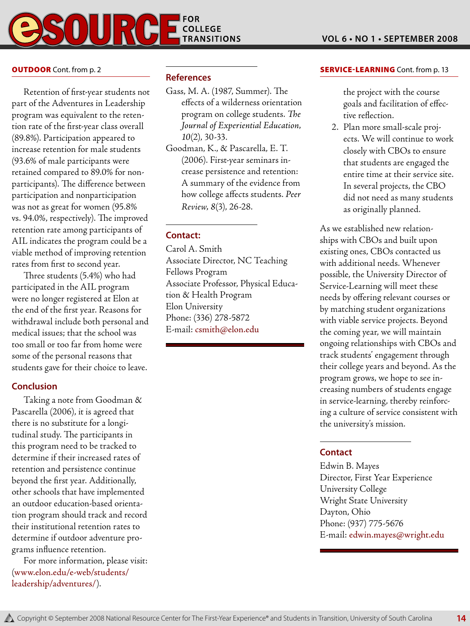![](_page_13_Picture_0.jpeg)

#### **OUTDOOR** Cont. from p. 2

Retention of first-year students not part of the Adventures in Leadership program was equivalent to the retention rate of the first-year class overall (89.8%). Participation appeared to increase retention for male students (93.6% of male participants were retained compared to 89.0% for nonparticipants). The difference between participation and nonparticipation was not as great for women (95.8% vs. 94.0%, respectively). The improved retention rate among participants of AIL indicates the program could be a viable method of improving retention rates from first to second year.

Three students (5.4%) who had participated in the AIL program were no longer registered at Elon at the end of the first year. Reasons for withdrawal include both personal and medical issues; that the school was too small or too far from home were some of the personal reasons that students gave for their choice to leave.

# **Conclusion**

Taking a note from Goodman & Pascarella (2006), it is agreed that there is no substitute for a longitudinal study. The participants in this program need to be tracked to determine if their increased rates of retention and persistence continue beyond the first year. Additionally, other schools that have implemented an outdoor education-based orientation program should track and record their institutional retention rates to determine if outdoor adventure programs influence retention.

For more information, please visit: (www.elon.edu/e-web/students/ leadership/adventures/).

### **References**

- Gass, M. A. (1987, Summer). The effects of a wilderness orientation program on college students. *The Journal of Experiential Education, 10*(2), 30-33.
- Goodman, K., & Pascarella, E. T. (2006). First-year seminars increase persistence and retention: A summary of the evidence from how college affects students. *Peer Review, 8*(3), 26-28.

### **Contact:**

Carol A. Smith Associate Director, NC Teaching Fellows Program Associate Professor, Physical Education & Health Program Elon University Phone: (336) 278-5872 E-mail: csmith@elon.edu

#### **SERVICE-LEARNING** Cont. from p. 13

the project with the course goals and facilitation of effective reflection.

2. Plan more small-scale projects. We will continue to work closely with CBOs to ensure that students are engaged the entire time at their service site. In several projects, the CBO did not need as many students as originally planned.

As we established new relationships with CBOs and built upon existing ones, CBOs contacted us with additional needs. Whenever possible, the University Director of Service-Learning will meet these needs by offering relevant courses or by matching student organizations with viable service projects. Beyond the coming year, we will maintain ongoing relationships with CBOs and track students' engagement through their college years and beyond. As the program grows, we hope to see increasing numbers of students engage in service-learning, thereby reinforcing a culture of service consistent with the university's mission.

#### **Contact**

Edwin B. Mayes Director, First Year Experience University College Wright State University Dayton, Ohio Phone: (937) 775-5676 E-mail: edwin.mayes@wright.edu